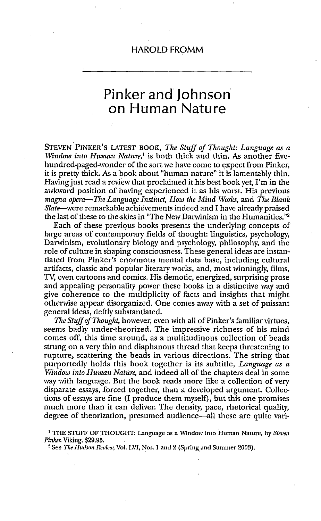## Pinker and Johnson on Human Nature

STEVEN PINKER'S LATEST BOOK, *The Stuff of Thought: Language as a Window* into Human Nature,' is both thick and thin. As another fivehundred-paged-wonder of the sort we have come to expect from Pinker, it is pretty thick. As a book about "human nature" it is lamentably thin. Having just read a review that proclaimed it his best book yet, I'm in the awkward position of having experienced it as his worst. His previous magna *opera-The Language Instinct, How the* Mind Worls, and *The Blank* Slate-were remarkable achievements indeed and I have already praised the last of these to the skies in "The New Darwinism in the Humanities."<sup>2</sup>

Each of these previous books presents the underlying concepts of large areas of contemporary fields of thought: linguistics, psychology, Darwinism, evolutionary biology and psychology, philosophy, and the role of culture in shaping consciousness. These general ideas are instantiated from Pinker's enormous mental data base, including cultural artifacts, classic and popular literary works, and, most winningly, films, TV, even cartoons and comics. His demotic, energized, surprising prose and appealing personality power these books in a distinctive way and give coherence to the multiplicity of facts and insights that might otherwise appear disorganized. One comes away with a set of puissant general ideas, deftly substantiated.

*The Stuff of Thought,* however, even with all of Pinker's familiar virtues, seems badly under-theorized. The impressive richness of his mind comes off, this time around, as a multitudinous collection of beads strung on a very thin and diaphanous thread that keeps threatening to rupture, scattering the beads in various directions. The string that purportedly holds this book together is its subtitle, *Language as a Window into Human Nature,* and indeed all of the chapters deal in some way with language. But the book reads more like a collection of very disparate essays, forced together, than a developed argument. Collections of essays are fine (I produce them myself), but this one promises much more than it can deliver. The density, pace, rhetorical quality, degree of theorization, presumed audience-all these are quite vari-

**I** THE STUFF OF THOUGHT: Language as a Window into Human Nature, by *Steven Pinker.* Viking. \$29.95.<br><sup>- 2</sup> See *The Hudson Review,* Vol. LVI, Nos. 1 and 2 (Spring and Summer 2003).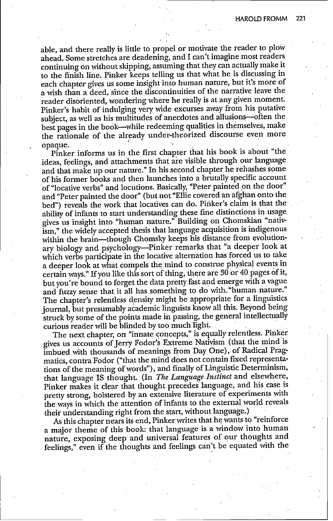able, and there really is little to propel or motivate the reader to plow ahead. Some stretches are deadening, and I can't imagine most readers continuing on without skipping, assuming that they can actually make it to the finish line. Pinker keeps telling us that what he is discussing in each chapter gives us some insight into human nature, but it's more of a wish than a deed, since the discontinuities of the narrative leave the reader disoriented, wondering where he really is at any given moment. Pinker's habit of indulging very wide excurses away from his putative subject, as well as his multitudes of anecdotes and allusions-often the best pages in the book-while redeeming qualities in themselves, make the rationale of the already under-theorized discourse even more opaque.

Pinker informs us in the first chapter that his book is about "the ideas, feelings, and attachments that are visible through our language and that make up our nature." In his second chapter he rehashes some of his former books and then launches into a brutally specific account of "locative verbs" and locutions. Basically, "Peter painted on the door" and "Peter painted the door" (but not "Ellie covered an afghan onto the bed") reveals the work that locatives can do. Piriker's claim is that the ability of infants to start understanding these fine distinctions in usage gives us insight into "human nature." Building on Chomskian "nativism," the widely accepted thesis that language acquisition is indigenous within the brain-though Chomsky keeps his distance from evolutionary biology and psychology-Pinker remarks that "a deeper look at which verbs participate in the locative alternation has forced us to take a deeper look at what compels the mind to construe physical events in certain ways." If you like this sort of thing, there are 30 or 40 pages of it, but you're bound to forget the data pretty fast and emerge with a vague and fuzzy sense that it all has something to do with-"human nature." The chapter's relentless density might be appropriate for a linguistics journal, but presumably academic linguists know all this. Beyond being struck by some of the points made in passing, the general intellectually curious reader will be blinded by too much light.

The next chapter, on "innate concepts," is equally relentless. Pinker gives us accounts of Jerry Fodor's Extreme Nativism (that the mind is imbued with thousands of meanings from Day One), of Radical Pragmatics, contra Fodor ("that the mind does not contain fixed representations of the meaning of words"), and finally of Linguistic Determinism, that language IS thought. (In *The Language Instinct* and elsewhere, Pinker makes it clear that thought precedes language, and his case is pretty strong, bolstered by an extensive literature of experiments with the ways in which the attention of infants to the external world reveals their understanding right from the start, without language.)

As this chapter nears its end, Pinker writes that he wants to "reinforce a major theme of this book: that language is a window into human nature, exposing deep and universal features of our thoughts and feelings," even if the thoughts and feelings can't be equated with the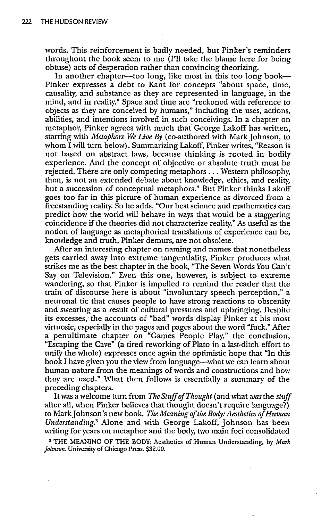words. This reinforcement is badly needed, but Pinker's reminders throughout the book seem to me (I'll take the blame here for being obtuse) acts of desperation rather than convincing theorizing.

In another chapter--too long, like most in this too long book-Pinker expresses a debt to Kant for concepts "about space, time, causality, and substance as they are represented in language, in the mind, and in reality." Space and time are "reckoned with reference to objects as they are conceived by humans," including the uses, actions, abilities, and intentions involved in such conceivings. In a chapter on metaphor, Pinker agrees with much that George Lakoff has written, starting with *Metaphors We Live By* (co-authored with Mark Johnson, to whom I will turn below). Summarizing Lakoff, Pinker writes, "Reason is not based on abstract laws, because thinking is rooted in bodily experience. And the concept of objective or absolute truth must be rejected. There are only competing metaphors... Western philosophy, then, is not an extended debate about knowledge, ethics, and reality, but a succession of conceptual metaphors." But Pinker thinks Lakoff goes too far in this picture of human experience as divorced from a freestanding reality. So he adds, "Our best science and mathematics can predict how the world will behave in ways that would be a staggering coincidence if the theories did not characterize reality." As useful as the notion of language as metaphorical translations of experience can be, knowledge and truth, Pinker demurs, are not obsolete.

After an interesting chapter on naming and names that nonetheless gets carried away into extreme tangentiality, Pinker produces what strikes me as the best chapter in the book, "The Seven Words You Can't Say on Television." Even this one, however, is subject to extreme wandering, so that Pinker is impelled to remind the reader that the train of discourse here is about "involuntary speech perception," a neuronal tic that causes people to have strong reactions to obscenity and swearing as a result of cultural pressures and upbringing. Despite its excesses, the accounts of "bad" words display Pinker at his most virtuosic, especially in the pages and pages about the word "fuck." After a penultimate chapter on "Games People Play," the conclusion, "Escaping the Cave" (a tired reworking of Plato in a last-ditch effort to unify the whole) expresses once again the optimistic hope that "In this book I have given you the view from language-what we can learn about human nature from the meanings of words and constructions and how they are used." What then follows is essentially a summary of the preceding chapters.

It was a welcome turn from *The Stuff of Thought* (and what *was* the *stuff* after all, when Pinker believes that thought doesn't require language?) to Mark Johnson's new book, *The Meaning of the Body: Aesthetics of Human Understanding.3* Alone and with George Lakoff, Johnson has been writing for years on metaphor and the body, two main foci consolidated

**3** THE MEANING OF THE BODY: Aesthetics of Human Understanding, by Mark *Johnson.* University of Chicago Press. **\$32.00.**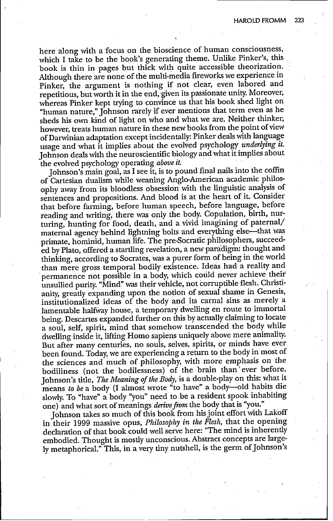here along with a focus on the bioscience of human consciousness, which I take to be the book's generating theme. Unlike Pinker's, this book is thin in pages but thick with quite accessible theorization. Although there are none of the multi-media fireworks we experience in Pinker, the argument is nothing if not clear, even labored and repetitious, but worth it in the end, given its passionate unity. Moreover, whereas Pinker kept trying to convince us that his book shed light on "human nature," Johnson rarely if ever mentions that term even as he sheds his own kind of light on who and what we are. Neither thinker, however, treats human nature in these new books from the point of view of Darwinian adaptation except incidentally: Pinker deals with language usage and what it implies about the evolved psychology *underlying it.* Johnson deals with the neuroscientific biology and what it implies about the evolved psychology operating *above it.*

Johnson's main goal, as I see it, is to pound final nails into the coffin of Cartesian dualism while weaning Anglo-American academic philosophy away from its bloodless obsession with the linguistic analysis of sentences and propositions. And blood is at the heart of it. Consider that before farming, before human speech, before language, before reading and writing, there was only the body. Copulation, birth, nurturing, hunting for food, death, and a vivid imagining of paternal/ maternal agency behind lightning bolts and everything else-that was primate, hominid, human life. The pre-Socratic philosophers, succeeded by Plato, offered a startling revelation, a new paradigm: thought and thinking, according to Socrates, was a purer form of being in the world than mere gross temporal bodily existence. Ideas had a reality and permanence not possible in a body, which could never achieve their unsullied purity. "Mind" was their vehicle, not corruptible flesh. Christianity, greatly expanding upon the notion of sexual shame in Genesis, institutionalized ideas of the body and its carnal sins as merely a lamentable halfway house, a temporary dwelling en route to immortal being. Descartes expanded further on this by actually claiming to locate a soul, self, spirit, mind that somehow transcended the body while dwelling inside it, lifting Homo sapiens uniquely above mere animality. But after many centuries, no souls, selves, spirits, or minds have ever been found. Today, we are experiencing a return to the body in most of the sciences and much of philosophy, with more emphasis on the bodiliness (not the bodilessness) of the brain than'ever before. Johnson's title, *The Meaning of the Body,* is a double-play on this: what it means *to be* a body (I almost wrote "to have" a body-old habits die slowly. To "have" a body "you" need to be a resident spook inhabiting one) and what sort of meanings derive from the body that is "you."

Johnson takes so much of this book from his joint effort with Lakoff in their 1999 massive opus, *Philosophy in the Flesh,* that the opening declaration of that book could well serve here: "The mind is inherently embodied. Thought is mostly unconscious. Abstract concepts are largely metaphorical." This, in a very tiny nutshell, is the germ of Johnson's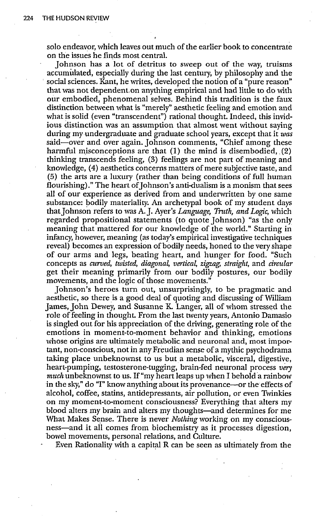solo endeavor, which leaves out much of the earlier book to concentrate on the issues he finds most central.

Johnson has a lot of detritus to sweep out of the way, truisms accumulated, especially during the last century, by philosophy and the social sciences. Kant, he writes, developed the notion of a "pure reason" that was not dependent.on anything empirical and had little to do with our embodied, phenomenal selves. Behind this tradition is the faux distinction between what is "merely" aesthetic feeling and emotion and what is solid (even "transcendent") rational thought. Indeed, this invidious distinction was an assumption that almost went without saying during my undergraduate and graduate school years, except that it *was* said-over and over again. Johnson comments, "Chief among these harmful misconceptions are that (1) the mind is disembodied, (2) thinking transcends feeling, (3) feelings are not part of meaning and knowledge, (4) aesthetics concerns matters of mere subjective taste, and (5) the arts are a luxury (rather than being conditions of full human flourishing)." The heart of Johnson's anti-dualism is a monism that sees all of our experience as derived from and underwritten by one same substance: bodily materiality. An archetypal book of my student days thatJohnson refers to was A. J. Ayer's *Language, Truth, and Logic,* which regarded propositional statements (to quote Johnson) "as the only meaning that mattered for our knowledge of the world." Starting in infancy, however, meaning (as today's empirical investigative techniques reveal) becomes an expression of bodily needs, honed to the very shape of our arms and legs, beating heart, and hunger for food. "Such concepts as *curved, twisted, diagona4 vertical zigzag, straight,* and *circular* get their meaning primarily from our bodily postures, our bodily movements, and the logic of those movements."

Johnson's heroes turn out, unsurprisingly, to be pragmatic and aesthetic, so there is a good deal of quoting and discussing of William James, John Dewey, and Susanne K. Langer, all of whom stressed the role of feeling in thought. From the last twenty years, Antonio Damasio is singled out for his appreciation of the driving, generating role of the emotions in moment-to-moment behavior and thinking, emotions whose origins are ultimately metabolic and neuronal and, most important, non-conscious, not in any Freudian sense of a mythic psychodrama taking place unbeknownst to us but a metabolic, visceral, digestive, heart-pumping, testosterone-tugging, brain-fed neuronal process *very* much unbeknownst to us. If "my heart leaps up when I behold a rainbow in the sky," do "I" know anything about its provenance—or the effects of alcohol, coffee, statins, antidepressants, air pollution, or even Twinkies on my moment-to-moment consciousness? Everything that alters my blood alters my brain and alters my thoughts—and determines for me What Makes Sense. There is never *Nothing* working on my consciousness—and it all comes from biochemistry as it processes digestion, bowel movements, personal relations, and Culture.

Even Rationality with a capital R can be seen as ultimately from the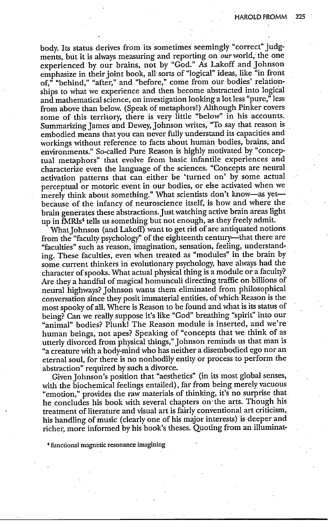body. Its status derives from its sometimes seemingly "correct" judgments, but it is always measuring and reporting on our world, the one experienced by our brains, not by "God." As Lakoff and Johnson emphasize in their joint book, all sorts of "logical" ideas, like "in front of," "behind," "after," and "before," come from our bodies' relationships to what we experience and then become abstracted into logical and mathematical science, on investigation looking a lot less "pure," less from above than below. (Speak of metaphors!) Although Pinker covers some of this territory, there is very little "below" in his accounts. Summarizing James and Dewey, Johnson writes, "To say that reason is embodied means that you can never fully understand its capacities and workings without reference to facts about human bodies, brains, and environments." So-called Pure Reason is highly motivated by "conceptual metaphors" that evolve from basic infantile experiences and characterize even the language of the sciences. "Concepts are neural activation patterns that can either be 'turned on' by some actual perceptual or motoric event in our bodies, or else activated when we merely think about something." What scientists don't know-as yetbecause of the infancy of neuroscience itself, is how and where the brain generates these abstractions.Just watching active brain areas light up in fMRIs<sup>4</sup> tells us something but not enough, as they freely admit.

What Johnson (and Lakoff) want to get rid of are antiquated notions from the "faculty psychology" of the eighteenth century---that there are "faculties" such as reason, imagination, sensation, feeling, understanding. These faculties, even when treated as "modules" in the brain by some current thinkers in evolutionary psychology, have always had the character of spooks. What actual physical thing is a module or a faculty? Are they a handful of magical homunculi directing traffic on billions of neural highways? Johnson wants them eliminated from philosophical conversation since they posit immaterial entities, of which Reason is the most spooky of all. Where is Reason to be found and what is its status of being? Can we really suppose it's like "God" breathing "spirit" into our "animal" bodies? Plunk! The Reason module is inserted, and we're human beings, not apes? Speaking of "concepts that we think of as utterly divorced from physical things," Johnson reminds us that man is "a creature with a body-mind who has neither a disembodied ego nor an eternal soul, for there is no nonbodily entity or process to perform the abstraction" required by such a divorce.

Given Johnson's position that "aesthetics" (in its most global senses, with the biochemical feelings entailed), far from being merely vacuous "emotion," provides the raw materials of thinking, it's no surprise that he concludes his book with several chapters on the arts. Though his treatment of literature and visual art is fairly conventional art criticism, his handling of music (clearly one of his major interests) is deeper and richer, more informed by his book's theses. Quoting from an illuminat-

4 functional magnetic resonance imagining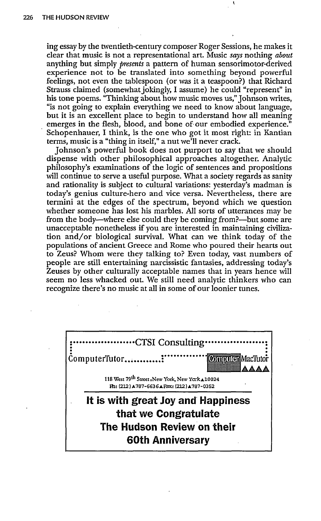ing essay by the twentieth-century composer Roger Sessions, he makes it clear that music is not a representational art. Music *says* nothing *about* anything but simply *presents* a pattern of human sensorimotor-derived experience not to be translated into something beyond powerful feelings, not even the tablespoon (or was it a teaspoon?) that Richard Strauss claimed (somewhat jokingly, I assume) he could "represent" in his tone poems. "Thinking about how music moves us," Johnson writes, "is not going to explain everything we need to know about language, but it is an excellent place to begin to understand how all meaning emerges in the flesh, blood, and bone of our embodied experience." Schopenhauer, I think, is the one who got it most right: in Kantian terms, music is a "thing in itself," a nut we'll never crack.

Johnson's powerful book does not purport to say that we should dispense with other philosophical approaches altogether. Analytic philosophy's examinations of the logic of sentences and propositions will continue to serve a useful purpose. What a society regards as sanity and rationality is subject to cultural variations: yesterday's madman is today's genius culture-hero and vice versa. Nevertheless, there are termini at the edges of the spectrum, beyond which we question whether someone has lost his marbles. All sorts of utterances may be from the body—where else could they be coming from?—but some are unacceptable nonetheless if you are interested in maintaining civilization and/or biological survival. What can we think today of the populations of ancient Greece and Rome who poured their hearts out to Zeus? Whom were they talking to? Even today, vast numbers of people are still entertaining narcissistic fantasies, addressing today's Zeuses by other culturally acceptable names that in years hence will seem no less whacked out. We still need analytic thinkers who can recognize there's no music at all in some of our loonier tunes.